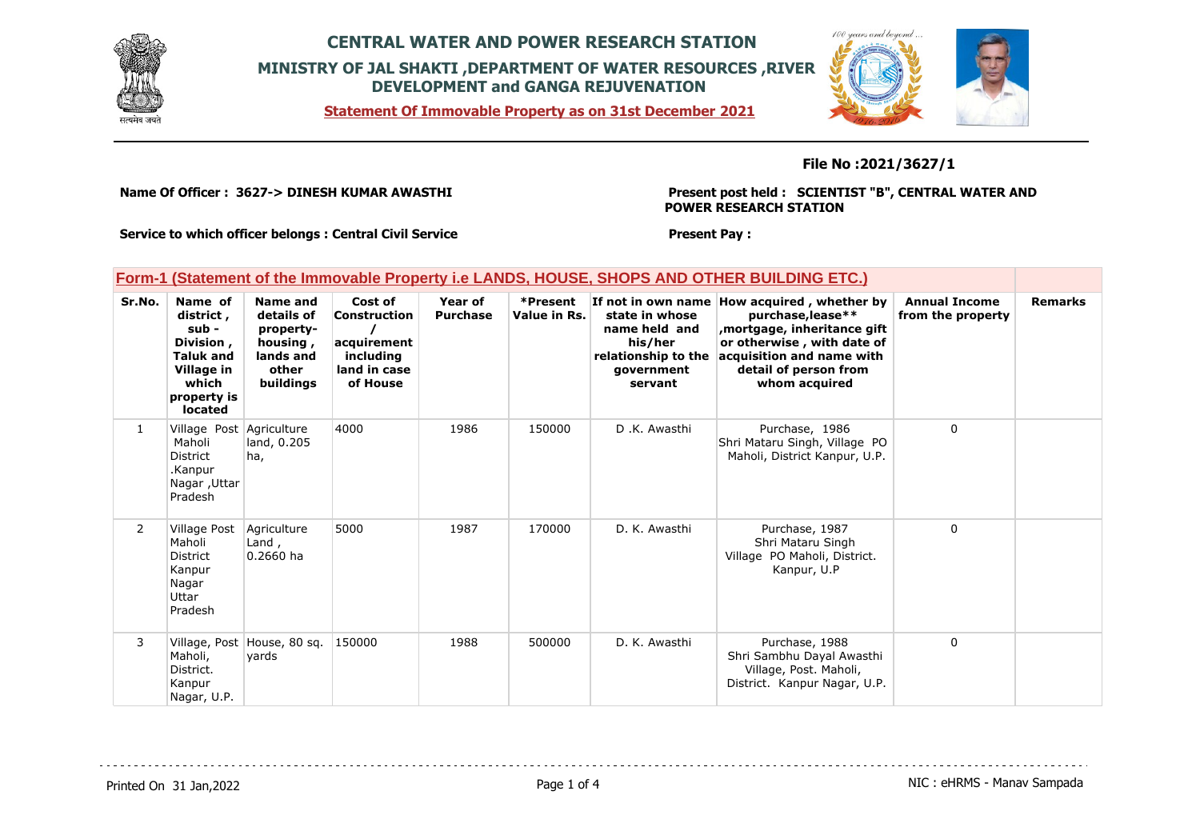

**Statement Of Immovable Property as on 31st December 2021**



### **File No :2021/3627/1**

**Name Of Officer : 3627-> DINESH KUMAR AWASTHI** 

**Present post held : SCIENTIST "B", CENTRAL WATER AND POWER RESEARCH STATION**

**Service to which officer belongs : Central Civil Service**

#### **Present Pay :**

|  | Form-1 (Statement of the Immovable Property i.e LANDS, HOUSE, SHOPS AND OTHER BUILDING ETC.) |  |
|--|----------------------------------------------------------------------------------------------|--|
|  |                                                                                              |  |

| Sr.No.         | Name of<br>district,<br>sub -<br>Division,<br><b>Taluk and</b><br>Village in<br>which<br>property is<br><b>located</b> | Name and<br>details of<br>property-<br>housing,<br>lands and<br>other<br>buildings | Cost of<br>Construction<br>acquirement<br>including<br>land in case<br>of House | Year of<br><b>Purchase</b> | *Present<br>Value in Rs. | state in whose<br>name held and<br>his/her<br>relationship to the<br>government<br>servant | If not in own name How acquired, whether by<br>purchase, lease**<br>mortgage, inheritance gift,<br>or otherwise, with date of<br>acquisition and name with<br>detail of person from<br>whom acquired | <b>Annual Income</b><br>from the property | <b>Remarks</b> |
|----------------|------------------------------------------------------------------------------------------------------------------------|------------------------------------------------------------------------------------|---------------------------------------------------------------------------------|----------------------------|--------------------------|--------------------------------------------------------------------------------------------|------------------------------------------------------------------------------------------------------------------------------------------------------------------------------------------------------|-------------------------------------------|----------------|
| $\mathbf{1}$   | Village Post Agriculture<br>Maholi<br>District<br>.Kanpur<br>Nagar, Uttar<br>Pradesh                                   | land, 0.205<br>ha,                                                                 | 4000                                                                            | 1986                       | 150000                   | D.K. Awasthi                                                                               | Purchase, 1986<br>Shri Mataru Singh, Village PO<br>Maholi, District Kanpur, U.P.                                                                                                                     | $\Omega$                                  |                |
| $\overline{2}$ | Village Post<br>Maholi<br>District<br>Kanpur<br>Nagar<br>Uttar<br>Pradesh                                              | Agriculture<br>Land,<br>$0.2660$ ha                                                | 5000                                                                            | 1987                       | 170000                   | D. K. Awasthi                                                                              | Purchase, 1987<br>Shri Mataru Singh<br>Village PO Maholi, District.<br>Kanpur, U.P                                                                                                                   | $\Omega$                                  |                |
| 3              | Maholi,<br>District.<br>Kanpur<br>Nagar, U.P.                                                                          | Village, Post House, 80 sq.<br>yards                                               | 150000                                                                          | 1988                       | 500000                   | D. K. Awasthi                                                                              | Purchase, 1988<br>Shri Sambhu Dayal Awasthi<br>Village, Post. Maholi,<br>District. Kanpur Nagar, U.P.                                                                                                | 0                                         |                |

Printed On 31 Jan, 2022 **Page 1 of 4** Page 1 of 4 NIC : eHRMS - Manav Sampada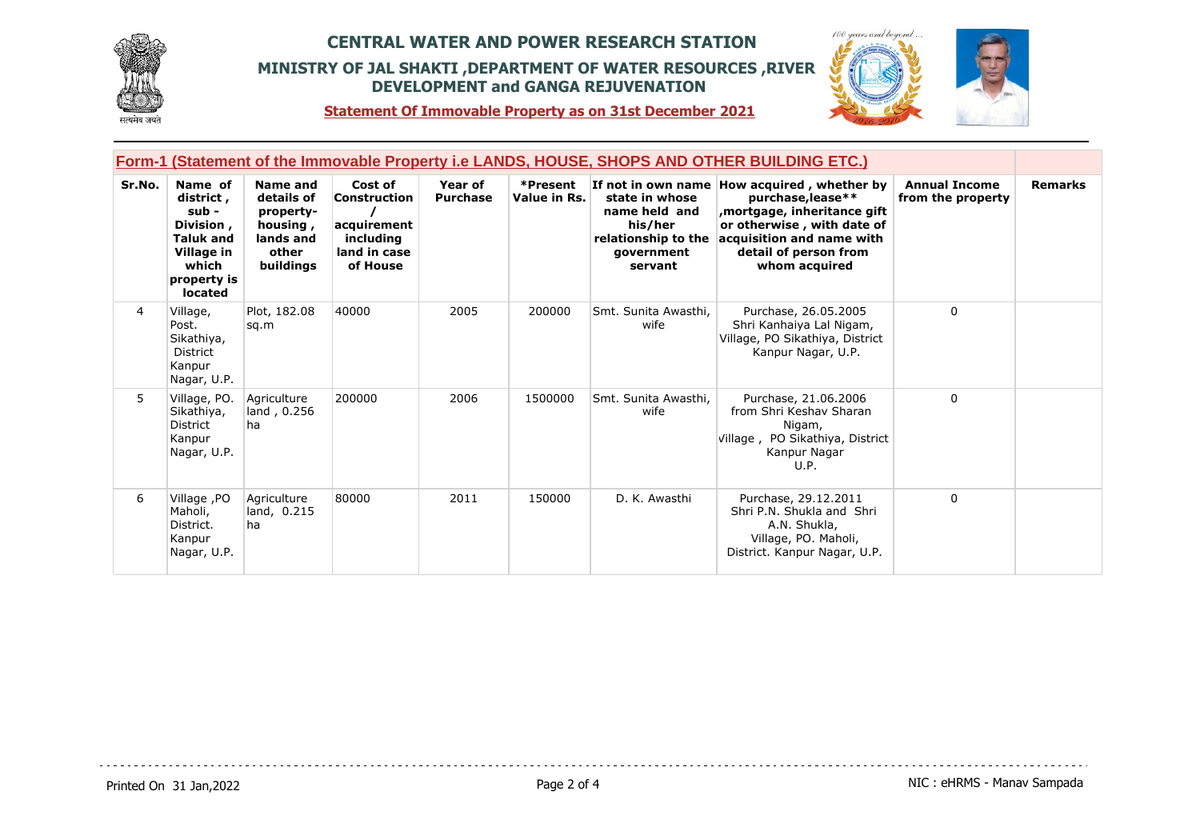



**Statement Of Immovable Property as on 31st December 2021**

| Form-1 (Statement of the Immovable Property i.e LANDS, HOUSE, SHOPS AND OTHER BUILDING ETC.) |                                                                                                                 |                                                                                    |                                                                                 |                            |                          |                                                                                            |                                                                                                                                                                                                       |                                           |                |
|----------------------------------------------------------------------------------------------|-----------------------------------------------------------------------------------------------------------------|------------------------------------------------------------------------------------|---------------------------------------------------------------------------------|----------------------------|--------------------------|--------------------------------------------------------------------------------------------|-------------------------------------------------------------------------------------------------------------------------------------------------------------------------------------------------------|-------------------------------------------|----------------|
| Sr.No.                                                                                       | Name of<br>district,<br>sub -<br>Division,<br><b>Taluk and</b><br>Village in<br>which<br>property is<br>located | Name and<br>details of<br>property-<br>housing,<br>lands and<br>other<br>buildings | Cost of<br>Construction<br>acquirement<br>including<br>land in case<br>of House | Year of<br><b>Purchase</b> | *Present<br>Value in Rs. | state in whose<br>name held and<br>his/her<br>relationship to the<br>government<br>servant | If not in own name How acquired, whether by<br>purchase, lease**<br>, mortgage, inheritance gift<br>or otherwise, with date of<br>acquisition and name with<br>detail of person from<br>whom acquired | <b>Annual Income</b><br>from the property | <b>Remarks</b> |
| 4                                                                                            | Village,<br>Post.<br>Sikathiya,<br>District<br>Kanpur<br>Nagar, U.P.                                            | Plot, 182.08<br>sq.m                                                               | 40000                                                                           | 2005                       | 200000                   | Smt. Sunita Awasthi.<br>wife                                                               | Purchase, 26.05.2005<br>Shri Kanhaiya Lal Nigam,<br>Village, PO Sikathiya, District<br>Kanpur Nagar, U.P.                                                                                             | $\Omega$                                  |                |
| 5                                                                                            | Village, PO.<br>Sikathiya,<br>District<br>Kanpur<br>Nagar, U.P.                                                 | Agriculture<br>land, 0.256<br>ha                                                   | 200000                                                                          | 2006                       | 1500000                  | Smt. Sunita Awasthi,<br>wife                                                               | Purchase, 21.06.2006<br>from Shri Keshav Sharan<br>Nigam,<br>Village, PO Sikathiya, District<br>Kanpur Nagar<br>U.P.                                                                                  | $\mathbf 0$                               |                |
| 6                                                                                            | Village, PO<br>Maholi,<br>District.<br>Kanpur<br>Nagar, U.P.                                                    | Agriculture<br>land, 0.215<br>ha                                                   | 80000                                                                           | 2011                       | 150000                   | D. K. Awasthi                                                                              | Purchase, 29.12.2011<br>Shri P.N. Shukla and Shri<br>A.N. Shukla,<br>Village, PO. Maholi,<br>District. Kanpur Nagar, U.P.                                                                             | $\mathbf{0}$                              |                |

dia dia dia dia 4

. . . . . . . . . . . . . . . . . . .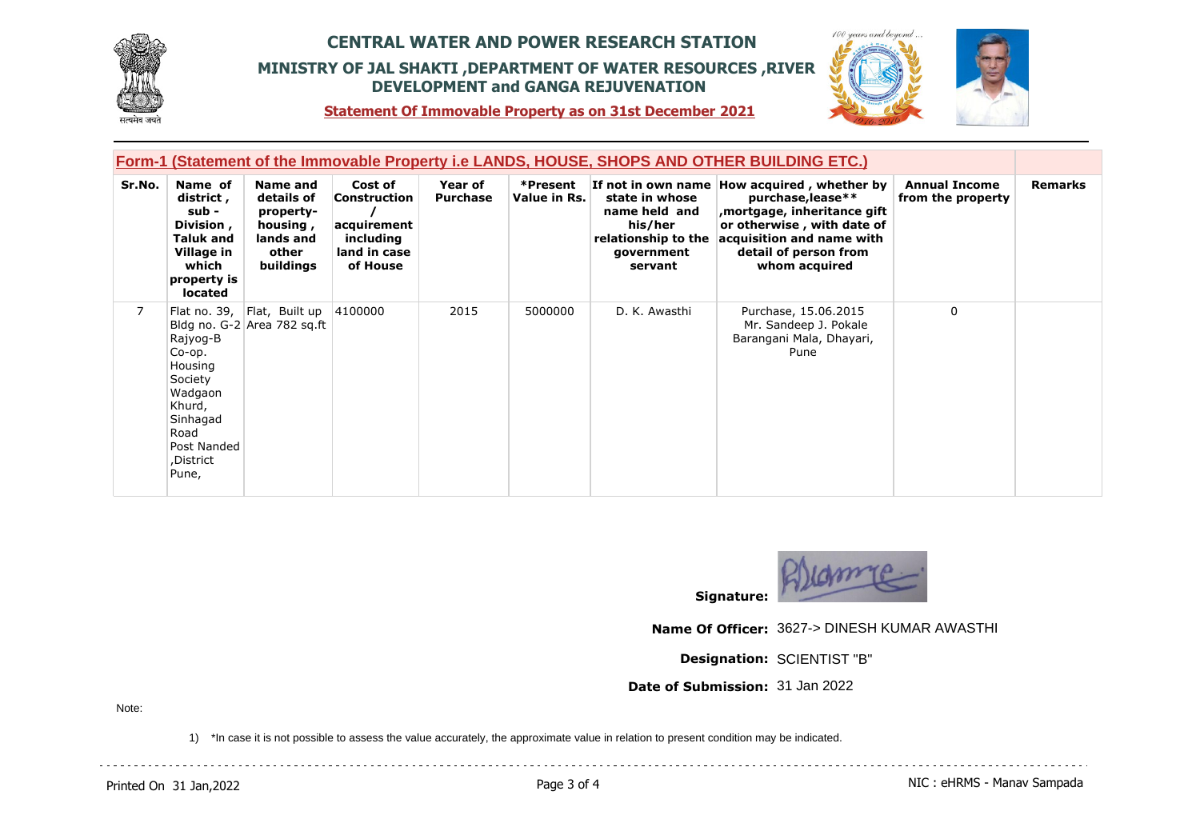



 $100$ 

**Statement Of Immovable Property as on 31st December 2021**

| Form-1 (Statement of the Immovable Property i.e LANDS, HOUSE, SHOPS AND OTHER BUILDING ETC.) |                                                                                                                        |                                                                                           |                                                                                 |                                   |                          |                                                                                            |                                                                                                                                                                                                       |                                           |                |
|----------------------------------------------------------------------------------------------|------------------------------------------------------------------------------------------------------------------------|-------------------------------------------------------------------------------------------|---------------------------------------------------------------------------------|-----------------------------------|--------------------------|--------------------------------------------------------------------------------------------|-------------------------------------------------------------------------------------------------------------------------------------------------------------------------------------------------------|-------------------------------------------|----------------|
| Sr.No.                                                                                       | Name of<br>district,<br>sub -<br>Division,<br><b>Taluk and</b><br>Village in<br>which<br>property is<br>located        | <b>Name and</b><br>details of<br>property-<br>housing,<br>lands and<br>other<br>buildings | Cost of<br>Construction<br>acquirement<br>including<br>land in case<br>of House | <b>Year of</b><br><b>Purchase</b> | *Present<br>Value in Rs. | state in whose<br>name held and<br>his/her<br>relationship to the<br>government<br>servant | If not in own name How acquired, whether by<br>purchase, lease**<br>, mortgage, inheritance gift<br>or otherwise, with date of<br>acquisition and name with<br>detail of person from<br>whom acquired | <b>Annual Income</b><br>from the property | <b>Remarks</b> |
| $\overline{7}$                                                                               | Rajyog-B<br>Co-op.<br>Housing<br>Society<br>Wadgaon<br>Khurd,<br>Sinhagad<br>Road<br>Post Nanded<br>,District<br>Pune, | Flat no. 39, Flat, Built up<br>Bldg no. G-2 Area 782 sq.ft                                | 4100000                                                                         | 2015                              | 5000000                  | D. K. Awasthi                                                                              | Purchase, 15.06.2015<br>Mr. Sandeep J. Pokale<br>Barangani Mala, Dhayari,<br>Pune                                                                                                                     | $\mathbf{0}$                              |                |



**Signature:**

**Name Of Officer:** 3627-> DINESH KUMAR AWASTHI

**Designation:** SCIENTIST "B"

**Date of Submission:** 31 Jan 2022

Note:

1) \*In case it is not possible to assess the value accurately, the approximate value in relation to present condition may be indicated.